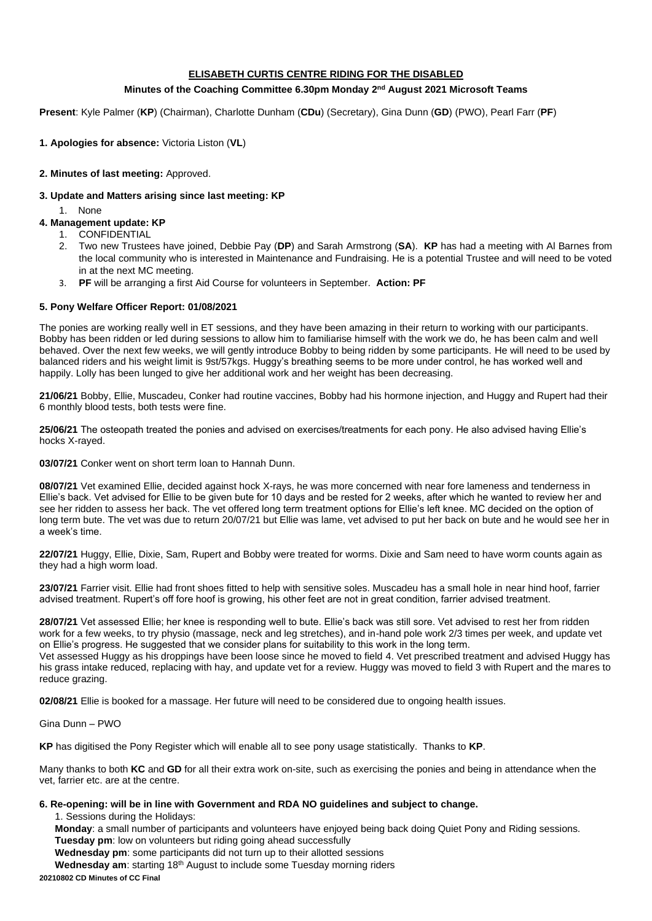## **ELISABETH CURTIS CENTRE RIDING FOR THE DISABLED**

#### **Minutes of the Coaching Committee 6.30pm Monday 2 nd August 2021 Microsoft Teams**

**Present**: Kyle Palmer (**KP**) (Chairman), Charlotte Dunham (**CDu**) (Secretary), Gina Dunn (**GD**) (PWO), Pearl Farr (**PF**)

### **1. Apologies for absence:** Victoria Liston (**VL**)

#### **2. Minutes of last meeting:** Approved.

### **3. Update and Matters arising since last meeting: KP**

1. None

# **4. Management update: KP**

- 1. CONFIDENTIAL
- 2. Two new Trustees have joined, Debbie Pay (**DP**) and Sarah Armstrong (**SA**). **KP** has had a meeting with Al Barnes from the local community who is interested in Maintenance and Fundraising. He is a potential Trustee and will need to be voted in at the next MC meeting.
- 3. **PF** will be arranging a first Aid Course for volunteers in September. **Action: PF**

### **5. Pony Welfare Officer Report: 01/08/2021**

The ponies are working really well in ET sessions, and they have been amazing in their return to working with our participants. Bobby has been ridden or led during sessions to allow him to familiarise himself with the work we do, he has been calm and well behaved. Over the next few weeks, we will gently introduce Bobby to being ridden by some participants. He will need to be used by balanced riders and his weight limit is 9st/57kgs. Huggy's breathing seems to be more under control, he has worked well and happily. Lolly has been lunged to give her additional work and her weight has been decreasing.

**21/06/21** Bobby, Ellie, Muscadeu, Conker had routine vaccines, Bobby had his hormone injection, and Huggy and Rupert had their 6 monthly blood tests, both tests were fine.

**25/06/21** The osteopath treated the ponies and advised on exercises/treatments for each pony. He also advised having Ellie's hocks X-rayed.

**03/07/21** Conker went on short term loan to Hannah Dunn.

**08/07/21** Vet examined Ellie, decided against hock X-rays, he was more concerned with near fore lameness and tenderness in Ellie's back. Vet advised for Ellie to be given bute for 10 days and be rested for 2 weeks, after which he wanted to review her and see her ridden to assess her back. The vet offered long term treatment options for Ellie's left knee. MC decided on the option of long term bute. The vet was due to return 20/07/21 but Ellie was lame, vet advised to put her back on bute and he would see her in a week's time.

**22/07/21** Huggy, Ellie, Dixie, Sam, Rupert and Bobby were treated for worms. Dixie and Sam need to have worm counts again as they had a high worm load.

**23/07/21** Farrier visit. Ellie had front shoes fitted to help with sensitive soles. Muscadeu has a small hole in near hind hoof, farrier advised treatment. Rupert's off fore hoof is growing, his other feet are not in great condition, farrier advised treatment.

**28/07/21** Vet assessed Ellie; her knee is responding well to bute. Ellie's back was still sore. Vet advised to rest her from ridden work for a few weeks, to try physio (massage, neck and leg stretches), and in-hand pole work 2/3 times per week, and update vet on Ellie's progress. He suggested that we consider plans for suitability to this work in the long term. Vet assessed Huggy as his droppings have been loose since he moved to field 4. Vet prescribed treatment and advised Huggy has his grass intake reduced, replacing with hay, and update vet for a review. Huggy was moved to field 3 with Rupert and the mares to reduce grazing.

**02/08/21** Ellie is booked for a massage. Her future will need to be considered due to ongoing health issues.

Gina Dunn – PWO

**KP** has digitised the Pony Register which will enable all to see pony usage statistically. Thanks to **KP**.

Many thanks to both **KC** and **GD** for all their extra work on-site, such as exercising the ponies and being in attendance when the vet, farrier etc. are at the centre.

#### **6. Re-opening: will be in line with Government and RDA NO guidelines and subject to change.**

1. Sessions during the Holidays:

**Monday**: a small number of participants and volunteers have enjoyed being back doing Quiet Pony and Riding sessions. **Tuesday pm**: low on volunteers but riding going ahead successfully

**Wednesday pm**: some participants did not turn up to their allotted sessions

Wednesday am: starting 18<sup>th</sup> August to include some Tuesday morning riders